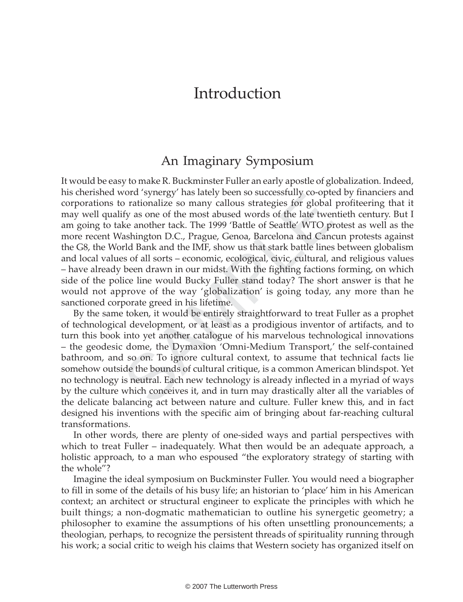## Introduction

## An Imaginary Symposium

o rationalize so many callous strategies for global<br>ify as one of the most abused words of the lift were<br>headwords of the lift were<br>headwords. The 1999 'Battle of Seattle' WTO pr<br>ashington D.C., Prague, Genoa, Barcelona an It would be easy to make R. Buckminster Fuller an early apostle of globalization. Indeed, his cherished word 'synergy' has lately been so successfully co-opted by financiers and corporations to rationalize so many callous strategies for global profiteering that it may well qualify as one of the most abused words of the late twentieth century. But I am going to take another tack. The 1999 'Battle of Seattle' WTO protest as well as the more recent Washington D.C., Prague, Genoa, Barcelona and Cancun protests against the G8, the World Bank and the IMF, show us that stark battle lines between globalism and local values of all sorts – economic, ecological, civic, cultural, and religious values – have already been drawn in our midst. With the fighting factions forming, on which side of the police line would Bucky Fuller stand today? The short answer is that he would not approve of the way 'globalization' is going today, any more than he sanctioned corporate greed in his lifetime.

By the same token, it would be entirely straightforward to treat Fuller as a prophet of technological development, or at least as a prodigious inventor of artifacts, and to turn this book into yet another catalogue of his marvelous technological innovations – the geodesic dome, the Dymaxion 'Omni-Medium Transport,' the self-contained bathroom, and so on. To ignore cultural context, to assume that technical facts lie somehow outside the bounds of cultural critique, is a common American blindspot. Yet no technology is neutral. Each new technology is already inflected in a myriad of ways by the culture which conceives it, and in turn may drastically alter all the variables of the delicate balancing act between nature and culture. Fuller knew this, and in fact designed his inventions with the specific aim of bringing about far-reaching cultural transformations.

In other words, there are plenty of one-sided ways and partial perspectives with which to treat Fuller – inadequately. What then would be an adequate approach, a holistic approach, to a man who espoused "the exploratory strategy of starting with the whole"?

Imagine the ideal symposium on Buckminster Fuller. You would need a biographer to fill in some of the details of his busy life; an historian to 'place' him in his American context; an architect or structural engineer to explicate the principles with which he built things; a non-dogmatic mathematician to outline his synergetic geometry; a philosopher to examine the assumptions of his often unsettling pronouncements; a theologian, perhaps, to recognize the persistent threads of spirituality running through his work; a social critic to weigh his claims that Western society has organized itself on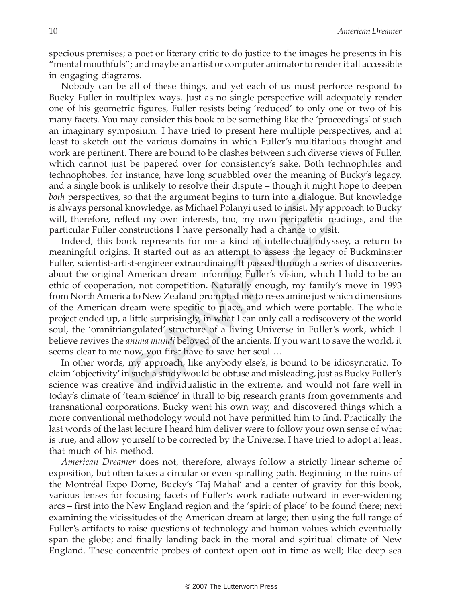specious premises; a poet or literary critic to do justice to the images he presents in his "mental mouthfuls"; and maybe an artist or computer animator to render it all accessible in engaging diagrams.

Nobody can be all of these things, and yet each of us must perforce respond to Bucky Fuller in multiplex ways. Just as no single perspective will adequately render one of his geometric figures, Fuller resists being 'reduced' to only one or two of his many facets. You may consider this book to be something like the 'proceedings' of such an imaginary symposium. I have tried to present here multiple perspectives, and at least to sketch out the various domains in which Fuller's multifarious thought and work are pertinent. There are bound to be clashes between such diverse views of Fuller, which cannot just be papered over for consistency's sake. Both technophiles and technophobes, for instance, have long squabbled over the meaning of Bucky's legacy, and a single book is unlikely to resolve their dispute – though it might hope to deepen both perspectives, so that the argument begins to turn into a dialogue. But knowledge is always personal knowledge, as Michael Polanyi used to insist. My approach to Bucky will, therefore, reflect my own interests, too, my own peripatetic readings, and the particular Fuller constructions I have personally had a chance to visit.

so that the argument begins to turn into a dialogue<br>I knowledge, as Michael Polanyi used to insist. My applete my own interests, too, my own peripatetic reconstructions I have personally had a chance to visioook represents Indeed, this book represents for me a kind of intellectual odyssey, a return to meaningful origins. It started out as an attempt to assess the legacy of Buckminster Fuller, scientist-artist-engineer extraordinaire. It passed through a series of discoveries about the original American dream informing Fuller's vision, which I hold to be an ethic of cooperation, not competition. Naturally enough, my family's move in 1993 from North America to New Zealand prompted me to re-examine just which dimensions of the American dream were specific to place, and which were portable. The whole project ended up, a little surprisingly, in what I can only call a rediscovery of the world soul, the 'omnitriangulated' structure of a living Universe in Fuller's work, which I believe revives the anima mundi beloved of the ancients. If you want to save the world, it seems clear to me now, you first have to save her soul …

In other words, my approach, like anybody else's, is bound to be idiosyncratic. To claim 'objectivity' in such a study would be obtuse and misleading, just as Bucky Fuller's science was creative and individualistic in the extreme, and would not fare well in today's climate of 'team science' in thrall to big research grants from governments and transnational corporations. Bucky went his own way, and discovered things which a more conventional methodology would not have permitted him to find. Practically the last words of the last lecture I heard him deliver were to follow your own sense of what is true, and allow yourself to be corrected by the Universe. I have tried to adopt at least that much of his method.

American Dreamer does not, therefore, always follow a strictly linear scheme of exposition, but often takes a circular or even spiralling path. Beginning in the ruins of the Montréal Expo Dome, Bucky's 'Taj Mahal' and a center of gravity for this book, various lenses for focusing facets of Fuller's work radiate outward in ever-widening arcs – first into the New England region and the 'spirit of place' to be found there; next examining the vicissitudes of the American dream at large; then using the full range of Fuller's artifacts to raise questions of technology and human values which eventually span the globe; and finally landing back in the moral and spiritual climate of New England. These concentric probes of context open out in time as well; like deep sea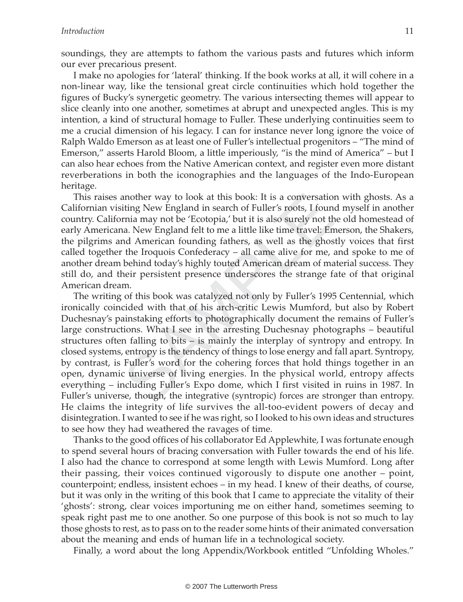soundings, they are attempts to fathom the various pasts and futures which inform our ever precarious present.

I make no apologies for 'lateral' thinking. If the book works at all, it will cohere in a non-linear way, like the tensional great circle continuities which hold together the figures of Bucky's synergetic geometry. The various intersecting themes will appear to slice cleanly into one another, sometimes at abrupt and unexpected angles. This is my intention, a kind of structural homage to Fuller. These underlying continuities seem to me a crucial dimension of his legacy. I can for instance never long ignore the voice of Ralph Waldo Emerson as at least one of Fuller's intellectual progenitors – "The mind of Emerson," asserts Harold Bloom, a little imperiously, "is the mind of America" – but I can also hear echoes from the Native American context, and register even more distant reverberations in both the iconographies and the languages of the Indo-European heritage.

This raises another way to look at this book: It is a conversation with ghosts. As a Californian visiting New England in search of Fuller's roots, I found myself in another country. California may not be 'Ecotopia,' but it is also surely not the old homestead of early Americana. New England felt to me a little like time travel: Emerson, the Shakers, the pilgrims and American founding fathers, as well as the ghostly voices that first called together the Iroquois Confederacy – all came alive for me, and spoke to me of another dream behind today's highly touted American dream of material success. They still do, and their persistent presence underscores the strange fate of that original American dream.

another way to look at this book: It is a conversation<br>iting New England in search of Fuller's roots, I foun<br>prina may not be 'Ecotopia,' but it is also surely not th<br>a. New England felt to me a little like time travel: Er The writing of this book was catalyzed not only by Fuller's 1995 Centennial, which ironically coincided with that of his arch-critic Lewis Mumford, but also by Robert Duchesnay's painstaking efforts to photographically document the remains of Fuller's large constructions. What I see in the arresting Duchesnay photographs – beautiful structures often falling to bits – is mainly the interplay of syntropy and entropy. In closed systems, entropy is the tendency of things to lose energy and fall apart. Syntropy, by contrast, is Fuller's word for the cohering forces that hold things together in an open, dynamic universe of living energies. In the physical world, entropy affects everything – including Fuller's Expo dome, which I first visited in ruins in 1987. In Fuller's universe, though, the integrative (syntropic) forces are stronger than entropy. He claims the integrity of life survives the all-too-evident powers of decay and disintegration. I wanted to see if he was right, so I looked to his own ideas and structures to see how they had weathered the ravages of time.

Thanks to the good offices of his collaborator Ed Applewhite, I was fortunate enough to spend several hours of bracing conversation with Fuller towards the end of his life. I also had the chance to correspond at some length with Lewis Mumford. Long after their passing, their voices continued vigorously to dispute one another – point, counterpoint; endless, insistent echoes – in my head. I knew of their deaths, of course, but it was only in the writing of this book that I came to appreciate the vitality of their 'ghosts': strong, clear voices importuning me on either hand, sometimes seeming to speak right past me to one another. So one purpose of this book is not so much to lay those ghosts to rest, as to pass on to the reader some hints of their animated conversation about the meaning and ends of human life in a technological society.

Finally, a word about the long Appendix/Workbook entitled "Unfolding Wholes."